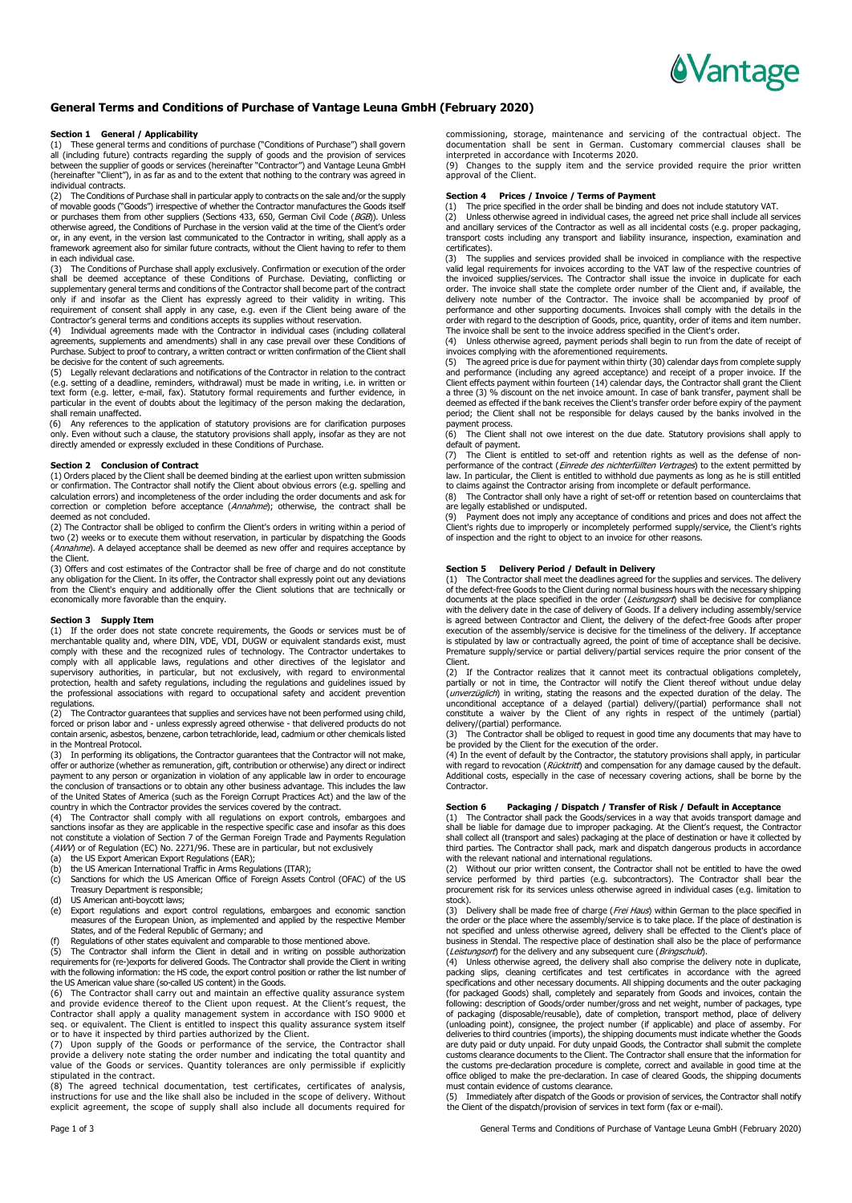

## **General Terms and Conditions of Purchase of Vantage Leuna GmbH (February 2020)**

#### **Section 1 General / Applicability**

(1) These general terms and conditions of purchase ("Conditions of Purchase") shall govern all (including future) contracts regarding the supply of goods and the provision of services between the supplier of goods or services (hereinafter "Contractor") and Vantage Leuna GmbH (hereinafter "Client"), in as far as and to the extent that nothing to the contrary was agreed in individual contracts.

(2) The Conditions of Purchase shall in particular apply to contracts on the sale and/or the supply of movable goods ("Goods") irrespective of whether the Contractor manufactures the Goods itself or purchases them from other suppliers (Sections 433, 650, German Civil Code (BGB)). Unless otherwise agreed, the Conditions of Purchase in the version valid at the time of the Client's order or, in any event, in the version last communicated to the Contractor in writing, shall apply as a framework agreement also for similar future contracts, without the Client having to refer to them in each individual case.

(3) The Conditions of Purchase shall apply exclusively. Confirmation or execution of the order<br>shall be deemed acceptance of these Conditions of Purchase. Deviating, conflicting or<br>supplementary general terms only if and insofar as the Client has expressly agreed to their validity in writing. This requirement of consent shall apply in any case, e.g. even if the Client being aware of the Contractor's general terms and conditions accepts its supplies without reservation.

(4) Individual agreements made with the Contractor in individual cases (including collateral agreements, supplements and amendments) shall in any case prevail over these Conditions of Purchase. Subject to proof to contrary, a written contract or written confirmation of the Client shall be decisive for the content of such agreements.

(5) Legally relevant declarations and notifications of the Contractor in relation to the contract (e.g. setting of a deadline, reminders, withdrawal) must be made in writing, i.e. in written or text form (e.g. letter, e-mail, fax). Statutory formal requirements and further evidence, in particular in the event of doubts about the legitimacy of the person making the declaration, shall remain unaffected.

(6) Any references to the application of statutory provisions are for clarification purposes<br>only. Even without such a clause, the statutory provisions shall apply, insofar as they are not<br>directly amended or expressly exc

#### **Section 2 Conclusion of Contract**

(1) Orders placed by the Client shall be deemed binding at the earliest upon written submission or confirmation. The Contractor shall notify the Client about obvious errors (e.g. spelling and calculation errors) and incompleteness of the order including the order documents and ask for correction or completion before acceptance (Annahme); otherwise, the contract shall be deemed as not concluded.

(2) The Contractor shall be obliged to confirm the Client's orders in writing within a period of two (2) weeks or to execute them without reservation, in particular by dispatching the Goods (*Annahme*). A delayed acceptance shall be deemed as new offer and requires acceptance by<br>the Client.

(3) Offers and cost estimates of the Contractor shall be free of charge and do not constitute any obligation for the Client. In its offer, the Contractor shall expressly point out any deviations from the Client's enquiry and additionally offer the Client solutions that are technically or economically more favorable than the enquiry.

## **Section 3 Supply Item**

(1) If the order does not state concrete requirements, the Goods or services must be of merchantable quality and, where DIN, VDE, VDI, DUGW or equivalent standards exist, must<br>comply with these and the recognized rules of technology. The Contractor undertakes to<br>comply with all applicable laws, regulations an supervisory authorities, in particular, but not exclusively, with regard to environmental protection, health and safety regulations, including the regulations and guidelines issued by the professional associations with regard to occupational safety and accident prevention regulations.

The Contractor guarantees that supplies and services have not been performed using child, forced or prison labor and - unless expressly agreed otherwise - that delivered products do not contain arsenic, asbestos, benzene, carbon tetrachloride, lead, cadmium or other chemicals listed in the Montreal Protocol.

(3) In performing its obligations, the Contractor guarantees that the Contractor will not make, offer or authorize (whether as remuneration, gift, contribution or otherwise) any direct or indirect<br>payment to any person or organization in violation of any applicable law in order to encourage<br>the conclusion of transact of the United States of America (such as the Foreign Corrupt Practices Act) and the law of the country in which the Contractor provides the services covered by the contract.

(4) The Contractor shall comply with all regulations on export controls, embargoes and<br>sanctions insofar as they are applicable in the respective specific case and insofar as this does<br>not constitute a violation of Section (AWV) or of Regulation (EC) No. 2271/96. These are in particular, but not exclusively (a) the US Export American Export Regulations (EAR);

- 
- (b) the US American International Traffic in Arms Regulations (ITAR);
- (c) Sanctions for which the US American Office of Foreign Assets Control (OFAC) of the US Treasury Department is responsible;
- (d) US American anti-boycott laws;
- (e) Export regulations and export control regulations, embargoes and economic sanction measures of the European Union, as implemented and applied by the respective Member States, and of the Federal Republic of Germany; and
- 

(f) Regulations of other states equivalent and comparable to those mentioned above. (5) The Contractor shall inform the Client in detail and in writing on possible authorization requirements for (re-)exports for delivered Goods. The Contractor shall provide the Client in writing with the following information: the HS code, the export control position or rather the list number of the US American value share (so-called US content) in the Goods.

(6) The Contractor shall carry out and maintain an effective quality assurance system and provide evidence thereof to the Client upon request. At the Client's request, the Contractor shall apply a quality management system in accordance with ISO 9000 et seq. or equivalent. The Client is entitled to inspect this quality assurance system itself

or to have it inspected by third parties authorized by the Client.<br>(7) Upon supply of the Goods or performance of the service, the Contractor shall<br>provide a delivery note stating the order number and indicating the total value of the Goods or services. Quantity tolerances are only permissible if explicitly stipulated in the contract.

(8) The agreed technical documentation, test certificates, certificates of analysis, instructions for use and the like shall also be included in the scope of delivery. Without explicit agreement, the scope of supply shall also include all documents required for commissioning, storage, maintenance and servicing of the contractual object. The documentation shall be sent in German. Customary commercial clauses shall be

interpreted in accordance with Incoterms 2020. (9) Changes to the supply item and the service provided require the prior written approval of the Client.

## **Section 4 Prices / Invoice / Terms of Payment**

(1) The price specified in the order shall be binding and does not include statutory VAT. (2) Unless otherwise agreed in individual cases, the agreed net price shall include all services

and ancillary services of the Contractor as well as all incidental costs (e.g. proper packaging, transport costs including any transport and liability insurance, inspection, examination and certificates).

(3) The supplies and services provided shall be invoiced in compliance with the respective valid legal requirements for invoices according to the VAT law of the respective countries of the invoiced supplies/services. The Contractor shall issue the invoice in duplicate for each order. The invoice shall state the complete order number of the Client and, if available, the delivery note number of the Contractor. The invoice shall be accompanied by proof of performance and other supporting documents. Invoices shall comply with the details in the order with regard to the description of Goods, price, quantity, order of items and item number.

The invoice shall be sent to the invoice address specified in the Client's order.<br>(4) Unless otherwise agreed, payment periods shall begin to run from the date of receipt of<br>invoices complying with the aforementioned req

(5) The agreed price is due for payment within thirty (30) calendar days from complete supply and performance (including any agreed acceptance) and receipt of a proper invoice. If the<br>Client effects payment within fourteen (14) calendar days, the Contractor shall grant the Client<br>a three (3) % discount on the net i deemed as effected if the bank receives the Client's transfer order before expiry of the payment period; the Client shall not be responsible for delays caused by the banks involved in the

payment process. (6) The Client shall not owe interest on the due date. Statutory provisions shall apply to default of payment.<br>(7) The Client is

(7) The Client is entitled to set-off and retention rights as well as the defense of non-<br>performance of the contract (*Einrede des nichterfüllten Vertrages*) to the extent permitted by law. In particular, the Client is entitled to withhold due payments as long as he is still entitled

to claims against the Contractor arising from incomplete or default performance. (8) The Contractor shall only have a right of set-off or retention based on counterclaims that are legally established or undisputed.

(9) Payment does not imply any acceptance of conditions and prices and does not affect the<br>Client's rights due to improperly or incompletely performed supply/service, the Client's rights<br>of inspection and the right to obje

## **Section 5 Delivery Period / Default in Delivery**

(1) The Contractor shall meet the deadlines agreed for the supplies and services. The delivery of the defect-free Goods to the Client during normal business hours with the necessary shipping documents at the place specified in the order (*Leistungsort*) shall be decisive for compliance<br>with the delivery date in the case of delivery of Goods. If a delivery including assembly/service is agreed between Contractor and Client, the delivery of the defect-free Goods after proper execution of the assembly/service is decisive for the timeliness of the delivery. If acceptance is stipulated by law or contractually agreed, the point of time of acceptance shall be decisive. Premature supply/service or partial delivery/partial services require the prior consent of the Client.

(2) If the Contractor realizes that it cannot meet its contractual obligations completely, partially or not in time, the Contractor will notify the Client thereof without undue delay (unverzüglich) in writing, stating the reasons and the expected duration of the delay. The unconditional acceptance of a delayed (partial) delivery/(partial) performance shall not constitute a waiver by the Client of any rights in respect of the untimely (partial) delivery/(partial) performance.

(3) The Contractor shall be obliged to request in good time any documents that may have to

be provided by the Client for the execution of the order. (4) In the event of default by the Contractor, the statutory provisions shall apply, in particular with regard to revocation (Rücktritt) and compensation for any damage caused by the default. Additional costs, especially in the case of necessary covering actions, shall be borne by the Contractor.

## **Section 6 Packaging / Dispatch / Transfer of Risk / Default in Acceptance**

(1) The Contractor shall pack the Goods/services in a way that avoids transport damage and shall be liable for damage due to improper packaging. At the Client's request, the Contractor shall collect all (transport and sales) packaging at the place of destination or have it collected by third parties. The Contractor shall pack, mark and dispatch dangerous products in accordance with the relevant national and international regulations.

(2) Without our prior written consent, the Contractor shall not be entitled to have the owed<br>service performed by third parties (e.g. subcontractors). The Contractor shall bear the<br>procurement risk for its services unless stock).

(3) Delivery shall be made free of charge (Frei Haus) within German to the place specified in the order or the place where the assembly/service is to take place. If the place of destination is not specified and unless otherwise agreed, delivery shall be effected to the Client's place of business in Stendal. The respective place of destination shall also be the place of performance<br>(Leistungsort) for the delivery and any subsequent cure (Bringschuld).

(4) Unless otherwise agreed, the delivery shall also comprise the delivery note in duplicate, packing slips, cleaning certificates and test certificates in accordance with the agreed specifications and other necessary documents. All shipping documents and the outer packaging (for packaged Goods) shall, completely and separately from Goods and invoices, contain the following: description of Goods/order number/gross and net weight, number of packages, type of packaging (disposable/reusable), date of completion, transport method, place of delivery (unloading point), consignee, the project number (if applicable) and place of assemby. For deliveries to third countries (imports), the shipping documents must indicate whether the Goods are duty paid or duty unpaid. For duty unpaid Goods, the Contractor shall submit the complete customs clearance documents to the Client. The Contractor shall ensure that the information for the customs pre-declaration procedure is complete, correct and available in good time at the office obliged to make the pre-declaration. In case of cleared Goods, the shipping documents must contain evidence of customs clearance.

(5) Immediately after dispatch of the Goods or provision of services, the Contractor shall notify the Client of the dispatch/provision of services in text form (fax or e-mail).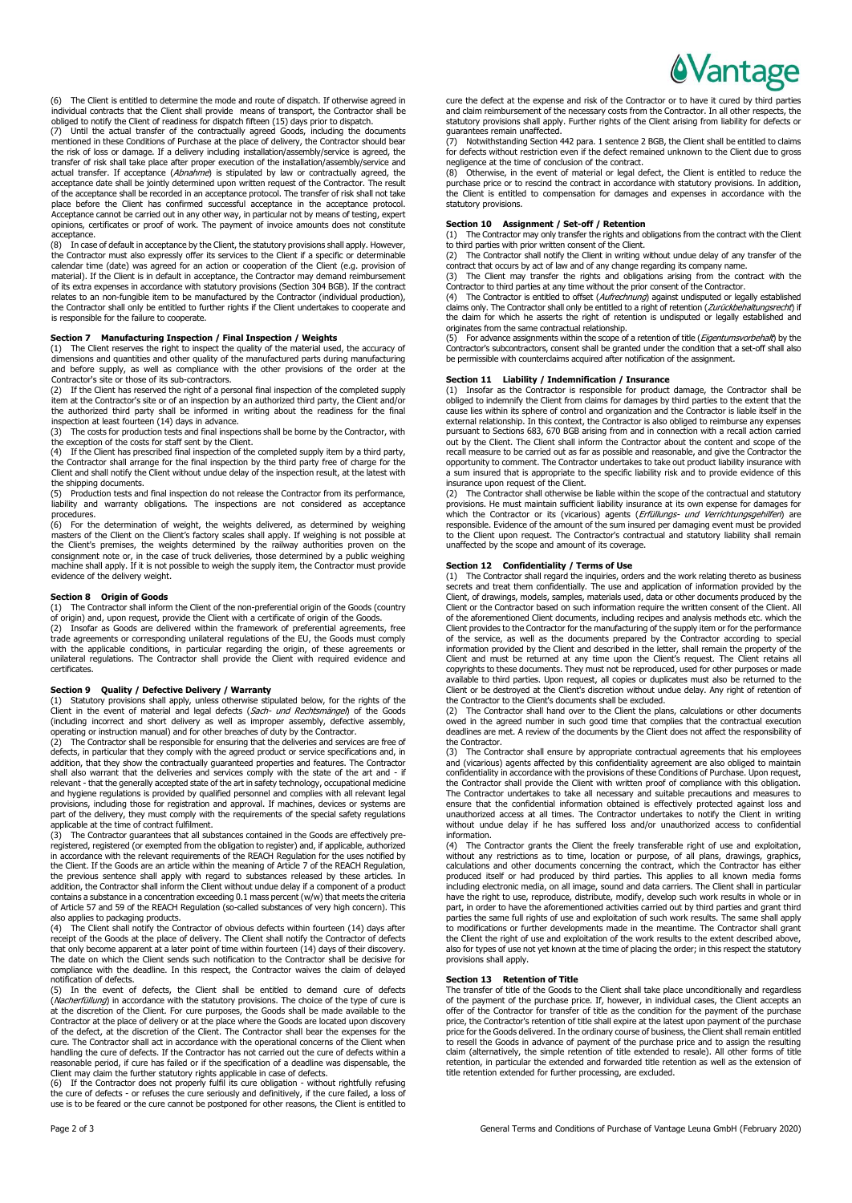

The Client is entitled to determine the mode and route of dispatch. If otherwise agreed in individual contracts that the Client shall provide means of transport, the Contractor shall be obliged to notify the Client of readiness for dispatch fifteen (15) days prior to dispatch.

(7) Until the actual transfer of the contractually agreed Goods, including the documents mentioned in these Conditions of Purchase at the place of delivery, the Contractor should bear the risk of loss or damage. If a delivery including installation/assembly/service is agreed, the transfer of risk shall take place after proper execution of the installation/assembly/service and<br>actual transfer. If acceptance (*Abnahme*) is stipulated by law or contractually agreed, the acceptance date shall be jointly determined upon written request of the Contractor. The result of the acceptance shall be recorded in an acceptance protocol. The transfer of risk shall not take place before the Client has confirmed successful acceptance in the acceptance protocol. Acceptance cannot be carried out in any other way, in particular not by means of testing, expert opinions, certificates or proof of work. The payment of invoice amounts does not constitute acceptance.

(8) In case of default in acceptance by the Client, the statutory provisions shall apply. However, the Contractor must also expressly offer its services to the Client if a specific or determinable calendar time (date) was agreed for an action or cooperation of the Client (e.g. provision of material). If the Client is in default in acceptance, the Contractor may demand reimbursement of its extra expenses in accordance with statutory provisions (Section 304 BGB). If the contract relates to an non-fungible item to be manufactured by the Contractor (individual production), the Contractor shall only be entitled to further rights if the Client undertakes to cooperate and is responsible for the failure to cooperate.

#### **Section 7 Manufacturing Inspection / Final Inspection / Weights**

(1) The Client reserves the right to inspect the quality of the material used, the accuracy of dimensions and quantities and other quality of the manufactured parts during manufacturing and before supply, as well as compliance with the other provisions of the order at the

Contractor's site or those of its sub-contractors. (2) If the Client has reserved the right of a personal final inspection of the completed supply item at the Contractor's site or of an inspection by an authorized third party, the Client and/or the authorized third party shall be informed in writing about the readiness for the final inspection at least fourteen (14) days in advance.

(3) The costs for production tests and final inspections shall be borne by the Contractor, with the exception of the costs for staff sent by the Client.<br>
(4) If the Client has prescribed final inspection of the

If the Client has prescribed final inspection of the completed supply item by a third party, the Contractor shall arrange for the final inspection by the third party free of charge for the Client and shall notify the Client without undue delay of the inspection result, at the latest with

the shipping documents.<br>(5) Production tests and final inspection do not release the Contractor from its performance, (5) Production tests and final inspection do not release the Contractor from its performance, liability and warranty obligations. The inspections are not considered as acceptance procedures.

(6) For the determination of weight, the weights delivered, as determined by weighing<br>masters of the Client on the Client's factory scales shall apply. If weighing is not possible at<br>the Client's premises, the weights dete consignment note or, in the case of truck deliveries, those determined by a public weighing machine shall apply. If it is not possible to weigh the supply item, the Contractor must provide evidence of the delivery weight.

#### **Section 8 Origin of Goods**

(1) The Contractor shall inform the Client of the non-preferential origin of the Goods (country of origin) and, upon request, provide the Client with a certificate of origin of the Goods.

(2) Insofar as Goods are delivered within the framework of preferential agreements, free trade agreements or corresponding unilateral regulations of the EU, the Goods must comply with the applicable conditions, in particular regarding the origin, of these agreements or unilateral regulations. The Contractor shall provide the Client with required evidence and certificates.

#### **Section 9 Quality / Defective Delivery / Warranty**

(1) Statutory provisions shall apply, unless otherwise stipulated below, for the rights of the<br>Client in the event of material and legal defects (*Sach- und Rechtsmängel*) of the Goods<br>(including incorrect and short delive

operating or instruction manual) and for other breaches of duty by the Contractor.<br>(2) The Contractor shall be responsible for ensuring that the deliveries and services are free of<br>defects, in particular that they comply w shall also warrant that the deliveries and services comply with the state of the art and - if relevant - that the generally accepted state of the art in safety technology, occupational medicine and hygiene regulations is provided by qualified personnel and complies with all relevant legal provisions, including those for registration and approval. If machines, devices or systems are part of the delivery, they must comply with the requirements of the special safety regulations applicable at the time of contract fulfilment.

(3) The Contractor guarantees that all substances contained in the Goods are effectively preregistered, registered (or exempted from the obligation to register) and, if applicable, authorized in accordance with the relevant requirements of the REACH Regulation for the uses notified by the Client. If the Goods are an article within the meaning of Article 7 of the REACH Regulation, the previous sentence shall apply with regard to substances released by these articles. In addition, the Contractor shall inform the Client without undue delay if a component of a product contains a substance in a concentration exceeding 0.1 mass percent (w/w) that meets the criteria of Article 57 and 59 of the REACH Regulation (so-called substances of very high concern). This

also applies to packaging products. (4) The Client shall notify the Contractor of obvious defects within fourteen (14) days after receipt of the Goods at the place of delivery. The Client shall notify the Contractor of defects that only become apparent at a later point of time within fourteen (14) days of their discovery. The date on which the Client sends such notification to the Contractor shall be decisive for compliance with the deadline. In this respect, the Contractor waives the claim of delayed notification of defects.

(5) In the event of defects, the Client shall be entitled to demand cure of defects (Nacherfüllung) in accordance with the statutory provisions. The choice of the type of cure is at the discretion of the Client. For cure purposes, the Goods shall be made available to the<br>Contractor at the place of delivery or at the place where the Goods are located upon discovery<br>of the defect, at the discretion o cure. The Contractor shall act in accordance with the operational concerns of the Client when handling the cure of defects. If the Contractor has not carried out the cure of defects within a reasonable period, if cure has failed or if the specification of a deadline was dispensable, the Client may claim the further statutory rights applicable in case of defects. (6) If the Contractor does not properly fulfil its cure obligation - without rightfully refusing

the cure of defects - or refuses the cure seriously and definitively, if the cure failed, a loss of use is to be feared or the cure cannot be postponed for other reasons, the Client is entitled to

cure the defect at the expense and risk of the Contractor or to have it cured by third parties<br>and claim reimbursement of the necessary costs from the Contractor. In all other respects, the<br>statutory provisions shall apply

guarantees remain unaffected. (7) Notwithstanding Section 442 para. 1 sentence 2 BGB, the Client shall be entitled to claims for defects without restriction even if the defect remained unknown to the Client due to gross

negligence at the time of conclusion of the contract. (8) Otherwise, in the event of material or legal defect, the Client is entitled to reduce the purchase price or to rescind the contract in accordance with statutory provisions. In addition, the Client is entitled to compensation for damages and expenses in accordance with the statutory provisions.

## **Section 10 Assignment / Set-off / Retention**

(1) The Contractor may only transfer the rights and obligations from the contract with the Client to third parties with prior written consent of the Client.

(2) The Contractor shall notify the Client in writing without undue delay of any transfer of the contract that occurs by act of law and of any change regarding its company name.<br>(3) The Client may transfer the rights and

claims only. The Contractor shall only be entitled to a right of retention (*Zurückbehaltungsrecht*) if<br>the claim for which he asserts the right of retention is undisputed or legally established and originates from the same contractual relationship.

(5) For advance assignments within the scope of a retention of title (*Eigentumsvorbehalt*) by the<br>Contractor's subcontractors, consent shall be granted under the condition that a set-off shall also be permissible with counterclaims acquired after notification of the assignment.

## **Section 11 Liability / Indemnification / Insurance**

(1) Insofar as the Contractor is responsible for product damage, the Contractor shall be obliged to indemnify the Client from claims for damages by third parties to the extent that the cause lies within its sphere of control and organization and the Contractor is liable itself in the external relationship. In this context, the Contractor is also obliged to reimburse any expenses pursuant to Sections 683, 670 BGB arising from and in connection with a recall action carried out by the Client. The Client shall inform the Contractor about the content and scope of the recall measure to be carried out as far as possible and reasonable, and give the Contractor the opportunity to comment. The Contractor undertakes to take out product liability insurance with a sum insured that is appropriate to the specific liability risk and to provide evidence of this insurance upon request of the Client.

(2) The Contractor shall otherwise be liable within the scope of the contractual and statutory provisions. He must maintain sufficient liability insurance at its own expense for damages for<br>which the Contractor or its (vicarious) agents (*Erfüllungs- und Verrichtungsgehilfen*) are responsible. Evidence of the amount of the sum insured per damaging event must be provided to the Client upon request. The Contractor's contractual and statutory liability shall remain unaffected by the scope and amount of its coverage.

#### **Section 12 Confidentiality / Terms of Use**

(1) The Contractor shall regard the inquiries, orders and the work relating thereto as business secrets and treat them confidentially. The use and application of information provided by the Client, of drawings, models, samples, materials used, data or other documents produced by the Client or the Contractor based on such information require the written consent of the Client. All of the aforementioned Client documents, including recipes and analysis methods etc. which the Client provides to the Contractor for the manufacturing of the supply item or for the performance of the service, as well as the documents prepared by the Contractor according to special information provided by the Client and described in the letter, shall remain the property of the Client and must be returned at any time upon the Client's request. The Client retains all copyrights to these documents. They must not be reproduced, used for other purposes or made available to third parties. Upon request, all copies or duplicates must also be returned to the Client or be destroyed at the Client's discretion without undue delay. Any right of retention of the Contractor to the Client's documents shall be excluded.

(2) The Contractor shall hand over to the Client the plans, calculations or other documents owed in the agreed number in such good time that complies that the contractual execution deadlines are met. A review of the documents by the Client does not affect the responsibility of the Contractor.

(3) The Contractor shall ensure by appropriate contractual agreements that his employees and (vicarious) agents affected by this confidentiality agreement are also obliged to maintain confidentiality in accordance with the provisions of these Conditions of Purchase. Upon request, the Contractor shall provide the Client with written proof of compliance with this obligation. The Contractor undertakes to take all necessary and suitable precautions and measures to ensure that the confidential information obtained is effectively protected against loss and unauthorized access at all times. The Contractor undertakes to notify the Client in writing without undue delay if he has suffered loss and/or unauthorized access to confidential information.<br>(4) The Co

The Contractor grants the Client the freely transferable right of use and exploitation, without any restrictions as to time, location or purpose, of all plans, drawings, graphics, calculations and other documents concerning the contract, which the Contractor has either produced itself or had produced by third parties. This applies to all known media forms including electronic media, on all image, sound and data carriers. The Client shall in particular have the right to use, reproduce, distribute, modify, develop such work results in whole or in part, in order to have the aforementioned activities carried out by third parties and grant third parties the same full rights of use and exploitation of such work results. The same shall apply to modifications or further developments made in the meantime. The Contractor shall grant the Client the right of use and exploitation of the work results to the extent described above, also for types of use not yet known at the time of placing the order; in this respect the statutory provisions shall apply.

#### **Section 13 Retention of Title**

The transfer of title of the Goods to the Client shall take place unconditionally and regardless of the payment of the purchase price. If, however, in individual cases, the Client accepts an offer of the Contractor for transfer of title as the condition for the payment of the purchase price, the Contractor's retention of title shall expire at the latest upon payment of the purchase price for the Goods delivered. In the ordinary course of business, the Client shall remain entitled to resell the Goods in advance of payment of the purchase price and to assign the resulting claim (alternatively, the simple retention of title extended to resale). All other forms of title retention, in particular the extended and forwarded title retention as well as the extension of title retention extended for further processing, are excluded.